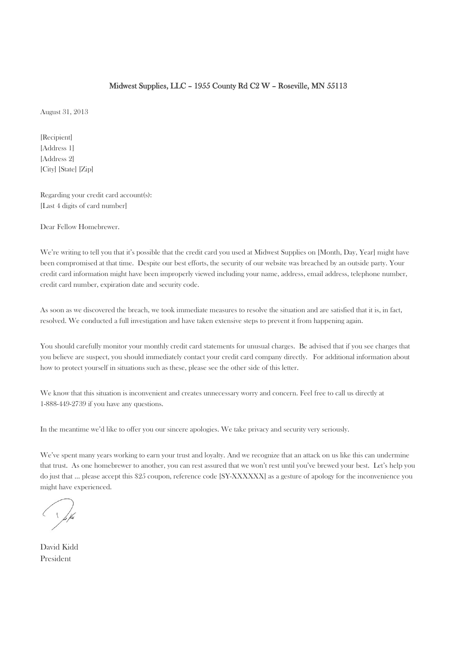# Midwest Supplies, LLC – 1955 County Rd C2 W – Roseville, MN 55113

August 31, 2013

[Recipient] [Address 1] [Address 2] [City] [State] [Zip]

Regarding your credit card account(s): [Last 4 digits of card number]

Dear Fellow Homebrewer.

We're writing to tell you that it's possible that the credit card you used at Midwest Supplies on [Month, Day, Year] might have been compromised at that time. Despite our best efforts, the security of our website was breached by an outside party. Your credit card information might have been improperly viewed including your name, address, email address, telephone number, credit card number, expiration date and security code.

As soon as we discovered the breach, we took immediate measures to resolve the situation and are satisfied that it is, in fact, resolved. We conducted a full investigation and have taken extensive steps to prevent it from happening again.

You should carefully monitor your monthly credit card statements for unusual charges. Be advised that if you see charges that you believe are suspect, you should immediately contact your credit card company directly. For additional information about how to protect yourself in situations such as these, please see the other side of this letter.

We know that this situation is inconvenient and creates unnecessary worry and concern. Feel free to call us directly at 1-888-449-2739 if you have any questions.

In the meantime we'd like to offer you our sincere apologies. We take privacy and security very seriously.

We've spent many years working to earn your trust and loyalty. And we recognize that an attack on us like this can undermine that trust. As one homebrewer to another, you can rest assured that we won't rest until you've brewed your best. Let's help you do just that … please accept this \$25 coupon, reference code [SY-XXXXXX] as a gesture of apology for the inconvenience you might have experienced.

David Kidd President